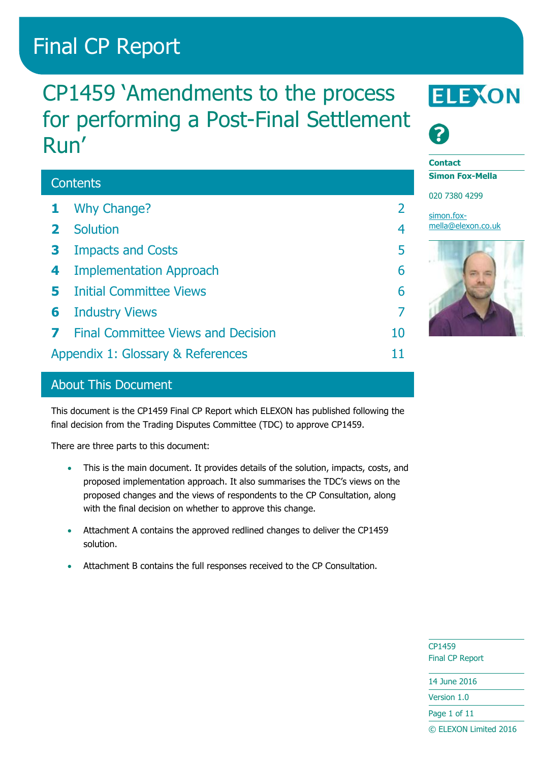# Final CP Report

# CP1459 'Amendments to the process for performing a Post-Final Settlement Run'

## **Contents 1** [Why Change?](#page-1-0) 2 **2** [Solution](#page-3-0) 4 **3** [Impacts and Costs](#page-4-0) 5 **4** [Implementation Approach](#page-5-0) 6 **5** [Initial Committee Views](#page-5-1) 6 **6** [Industry Views](#page-6-0) 7 **7** [Final Committee Views and Decision](#page-9-0) 10 [Appendix 1: Glossary & References](#page-10-0) 11





#### **Contact**

**Simon Fox-Mella**

020 7380 4299

[simon.fox](mailto:simon.fox-mella@elexon.co.uk)[mella@elexon.co.uk](mailto:simon.fox-mella@elexon.co.uk)



## About This Document

This document is the CP1459 Final CP Report which ELEXON has published following the final decision from the Trading Disputes Committee (TDC) to approve CP1459.

There are three parts to this document:

- This is the main document. It provides details of the solution, impacts, costs, and proposed implementation approach. It also summarises the TDC's views on the proposed changes and the views of respondents to the CP Consultation, along with the final decision on whether to approve this change.
- Attachment A contains the approved redlined changes to deliver the CP1459 solution.
- Attachment B contains the full responses received to the CP Consultation.

CP1459 Final CP Report

14 June 2016

Version 1.0

Page 1 of 11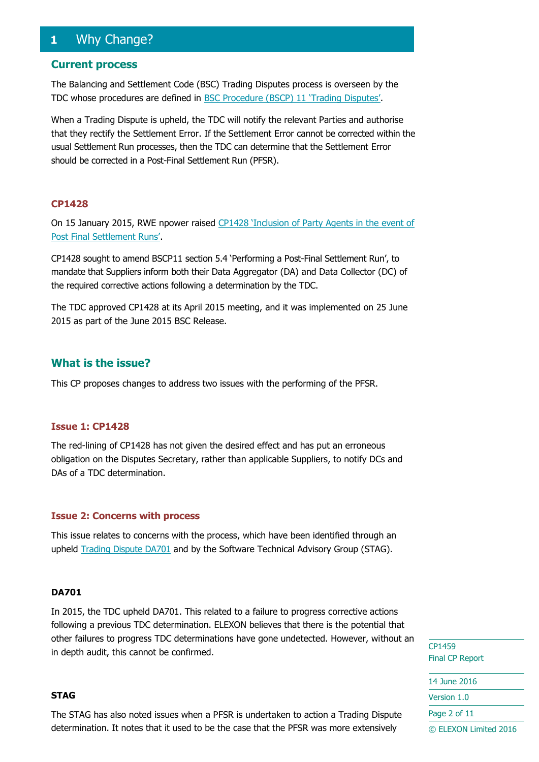## <span id="page-1-0"></span>**1** Why Change?

#### **Current process**

The Balancing and Settlement Code (BSC) Trading Disputes process is overseen by the TDC whose procedures are defined in BSC [Procedure \(BSCP\) 11](https://www.elexon.co.uk/bsc-related-documents/related-documents/bscps/) 'Trading Disputes'.

When a Trading Dispute is upheld, the TDC will notify the relevant Parties and authorise that they rectify the Settlement Error. If the Settlement Error cannot be corrected within the usual Settlement Run processes, then the TDC can determine that the Settlement Error should be corrected in a Post-Final Settlement Run (PFSR).

#### **CP1428**

On 15 January 2015, RWE npower raised [CP1428 'Inclusion of Party Agents in the event of](https://www.elexon.co.uk/change-proposal/cp1428/)  [Post Final Settlement Runs'](https://www.elexon.co.uk/change-proposal/cp1428/).

CP1428 sought to amend BSCP11 section 5.4 'Performing a Post-Final Settlement Run', to mandate that Suppliers inform both their Data Aggregator (DA) and Data Collector (DC) of the required corrective actions following a determination by the TDC.

The TDC approved CP1428 at its April 2015 meeting, and it was implemented on 25 June 2015 as part of the June 2015 BSC Release.

#### **What is the issue?**

This CP proposes changes to address two issues with the performing of the PFSR.

#### **Issue 1: CP1428**

The red-lining of CP1428 has not given the desired effect and has put an erroneous obligation on the Disputes Secretary, rather than applicable Suppliers, to notify DCs and DAs of a TDC determination.

#### **Issue 2: Concerns with process**

This issue relates to concerns with the process, which have been identified through an upheld [Trading Dispute DA701](https://www.elexon.co.uk/reference/technical-operations/dispute-decisions/) and by the Software Technical Advisory Group (STAG).

#### **DA701**

In 2015, the TDC upheld DA701. This related to a failure to progress corrective actions following a previous TDC determination. ELEXON believes that there is the potential that other failures to progress TDC determinations have gone undetected. However, without an in depth audit, this cannot be confirmed.

#### **STAG**

The STAG has also noted issues when a PFSR is undertaken to action a Trading Dispute determination. It notes that it used to be the case that the PFSR was more extensively

CP1459 Final CP Report 14 June 2016 Version 1.0

Page 2 of 11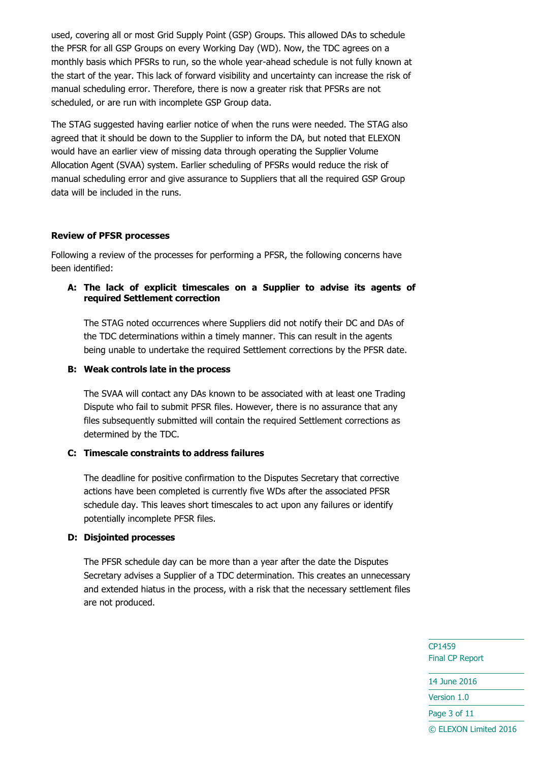used, covering all or most Grid Supply Point (GSP) Groups. This allowed DAs to schedule the PFSR for all GSP Groups on every Working Day (WD). Now, the TDC agrees on a monthly basis which PFSRs to run, so the whole year-ahead schedule is not fully known at the start of the year. This lack of forward visibility and uncertainty can increase the risk of manual scheduling error. Therefore, there is now a greater risk that PFSRs are not scheduled, or are run with incomplete GSP Group data.

The STAG suggested having earlier notice of when the runs were needed. The STAG also agreed that it should be down to the Supplier to inform the DA, but noted that ELEXON would have an earlier view of missing data through operating the Supplier Volume Allocation Agent (SVAA) system. Earlier scheduling of PFSRs would reduce the risk of manual scheduling error and give assurance to Suppliers that all the required GSP Group data will be included in the runs.

#### **Review of PFSR processes**

Following a review of the processes for performing a PFSR, the following concerns have been identified:

#### **A: The lack of explicit timescales on a Supplier to advise its agents of required Settlement correction**

The STAG noted occurrences where Suppliers did not notify their DC and DAs of the TDC determinations within a timely manner. This can result in the agents being unable to undertake the required Settlement corrections by the PFSR date.

#### **B: Weak controls late in the process**

The SVAA will contact any DAs known to be associated with at least one Trading Dispute who fail to submit PFSR files. However, there is no assurance that any files subsequently submitted will contain the required Settlement corrections as determined by the TDC.

#### **C: Timescale constraints to address failures**

The deadline for positive confirmation to the Disputes Secretary that corrective actions have been completed is currently five WDs after the associated PFSR schedule day. This leaves short timescales to act upon any failures or identify potentially incomplete PFSR files.

#### **D: Disjointed processes**

The PFSR schedule day can be more than a year after the date the Disputes Secretary advises a Supplier of a TDC determination. This creates an unnecessary and extended hiatus in the process, with a risk that the necessary settlement files are not produced.

> CP1459 Final CP Report

14 June 2016

Version 1.0

Page 3 of 11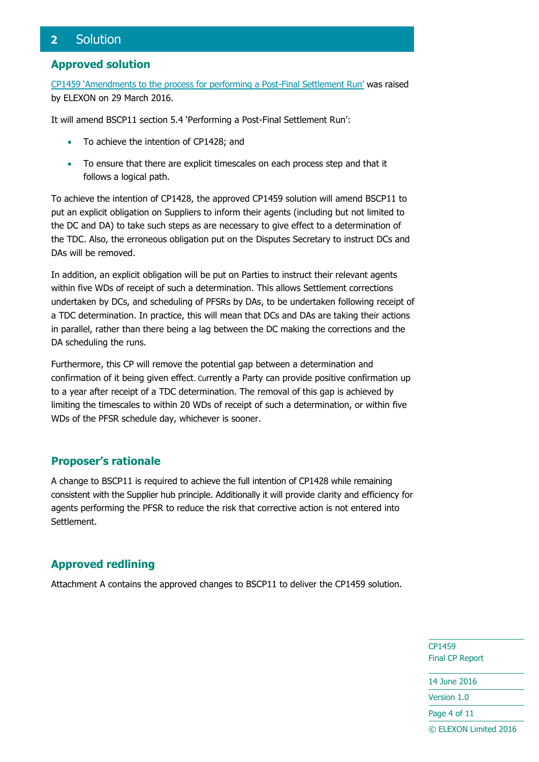## <span id="page-3-0"></span>**2** Solution

#### **Approved solution**

[CP1459 'Amendments to the process for performing a Post](https://www.elexon.co.uk/change-proposal/cp1459/)-Final Settlement Run' was raised by ELEXON on 29 March 2016.

It will amend BSCP11 section 5.4 'Performing a Post-Final Settlement Run':

- To achieve the intention of CP1428; and
- To ensure that there are explicit timescales on each process step and that it follows a logical path.

To achieve the intention of CP1428, the approved CP1459 solution will amend BSCP11 to put an explicit obligation on Suppliers to inform their agents (including but not limited to the DC and DA) to take such steps as are necessary to give effect to a determination of the TDC. Also, the erroneous obligation put on the Disputes Secretary to instruct DCs and DAs will be removed.

In addition, an explicit obligation will be put on Parties to instruct their relevant agents within five WDs of receipt of such a determination. This allows Settlement corrections undertaken by DCs, and scheduling of PFSRs by DAs, to be undertaken following receipt of a TDC determination. In practice, this will mean that DCs and DAs are taking their actions in parallel, rather than there being a lag between the DC making the corrections and the DA scheduling the runs.

Furthermore, this CP will remove the potential gap between a determination and confirmation of it being given effect. Currently a Party can provide positive confirmation up to a year after receipt of a TDC determination. The removal of this gap is achieved by limiting the timescales to within 20 WDs of receipt of such a determination, or within five WDs of the PFSR schedule day, whichever is sooner.

#### **Proposer's rationale**

A change to BSCP11 is required to achieve the full intention of CP1428 while remaining consistent with the Supplier hub principle. Additionally it will provide clarity and efficiency for agents performing the PFSR to reduce the risk that corrective action is not entered into Settlement.

## **Approved redlining**

Attachment A contains the approved changes to BSCP11 to deliver the CP1459 solution.

CP1459 Final CP Report

14 June 2016

Version 1.0

Page 4 of 11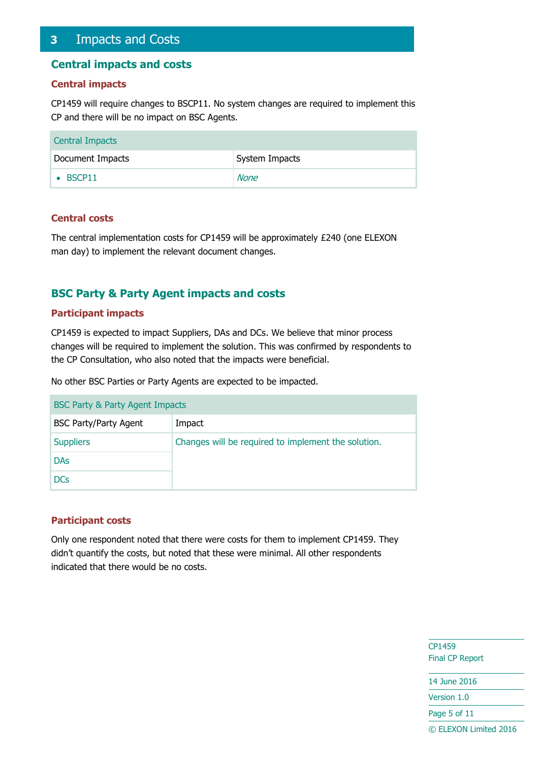## <span id="page-4-0"></span>**3** Impacts and Costs

#### **Central impacts and costs**

#### **Central impacts**

CP1459 will require changes to BSCP11. No system changes are required to implement this CP and there will be no impact on BSC Agents.

| <b>Central Impacts</b> |                |
|------------------------|----------------|
| Document Impacts       | System Impacts |
| $\bullet$ BSCP11       | None           |

#### **Central costs**

The central implementation costs for CP1459 will be approximately £240 (one ELEXON man day) to implement the relevant document changes.

## **BSC Party & Party Agent impacts and costs**

#### **Participant impacts**

CP1459 is expected to impact Suppliers, DAs and DCs. We believe that minor process changes will be required to implement the solution. This was confirmed by respondents to the CP Consultation, who also noted that the impacts were beneficial.

No other BSC Parties or Party Agents are expected to be impacted.

| BSC Party & Party Agent Impacts |                                                     |  |
|---------------------------------|-----------------------------------------------------|--|
| <b>BSC Party/Party Agent</b>    | Impact                                              |  |
| <b>Suppliers</b>                | Changes will be required to implement the solution. |  |
| <b>DAs</b>                      |                                                     |  |
| <b>DCs</b>                      |                                                     |  |

#### **Participant costs**

Only one respondent noted that there were costs for them to implement CP1459. They didn't quantify the costs, but noted that these were minimal. All other respondents indicated that there would be no costs.

> CP1459 Final CP Report

14 June 2016

Version 1.0

Page 5 of 11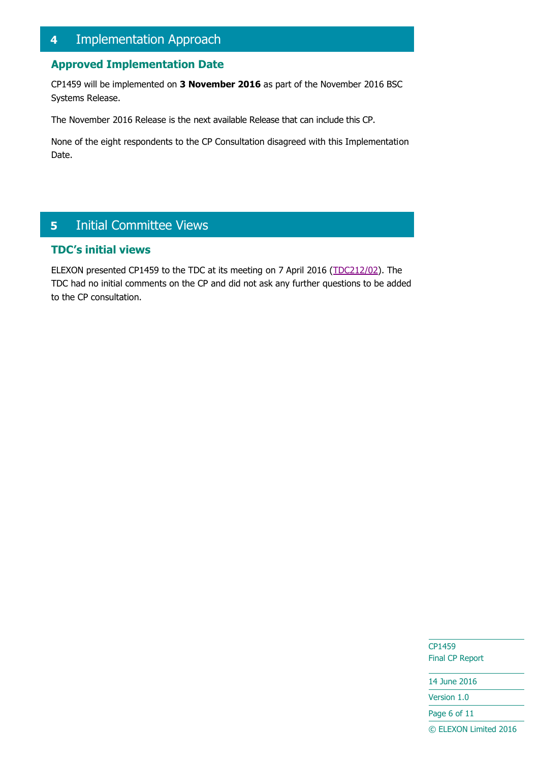## <span id="page-5-0"></span>**4** Implementation Approach

## **Approved Implementation Date**

CP1459 will be implemented on **3 November 2016** as part of the November 2016 BSC Systems Release.

The November 2016 Release is the next available Release that can include this CP.

None of the eight respondents to the CP Consultation disagreed with this Implementation Date.

## <span id="page-5-1"></span>**5** Initial Committee Views

## **TDC's initial views**

ELEXON presented CP1459 to the TDC at its meeting on 7 April 2016 [\(TDC212/02\)](https://www.elexon.co.uk/meeting/tdc-212-2/). The TDC had no initial comments on the CP and did not ask any further questions to be added to the CP consultation.

> CP1459 Final CP Report

14 June 2016 Version 1.0

Page 6 of 11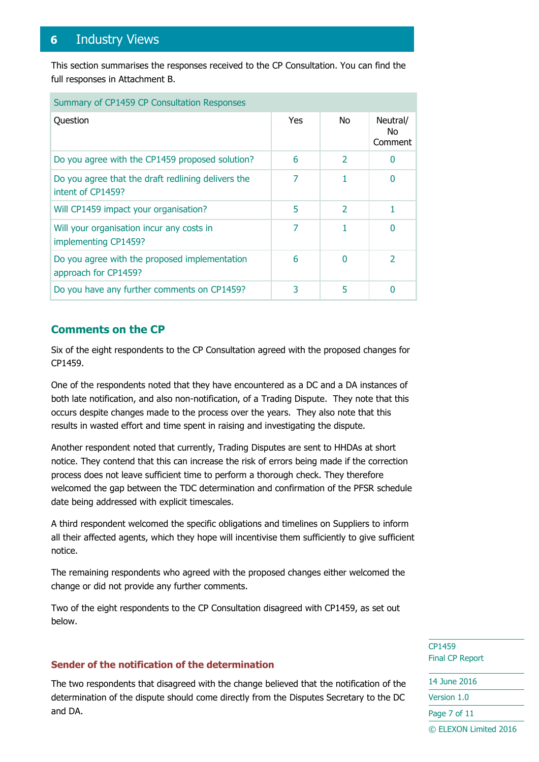## <span id="page-6-0"></span>**6** Industry Views

This section summarises the responses received to the CP Consultation. You can find the full responses in Attachment B.

| Summary of CP1459 CP Consultation Responses                             |      |                          |                            |
|-------------------------------------------------------------------------|------|--------------------------|----------------------------|
| Question                                                                | Yes. | No.                      | Neutral/<br>No.<br>Comment |
| Do you agree with the CP1459 proposed solution?                         | 6    | $\overline{\mathbf{2}}$  | $\Omega$                   |
| Do you agree that the draft redlining delivers the<br>intent of CP1459? | 7    |                          |                            |
| Will CP1459 impact your organisation?                                   | 5    | $\overline{\phantom{a}}$ |                            |
| Will your organisation incur any costs in<br>implementing CP1459?       | 7    |                          | O                          |
| Do you agree with the proposed implementation<br>approach for CP1459?   | 6    | 0                        | $\overline{2}$             |
| Do you have any further comments on CP1459?                             | 3    | 5                        | O                          |

## **Comments on the CP**

Six of the eight respondents to the CP Consultation agreed with the proposed changes for CP1459.

One of the respondents noted that they have encountered as a DC and a DA instances of both late notification, and also non-notification, of a Trading Dispute. They note that this occurs despite changes made to the process over the years. They also note that this results in wasted effort and time spent in raising and investigating the dispute.

Another respondent noted that currently, Trading Disputes are sent to HHDAs at short notice. They contend that this can increase the risk of errors being made if the correction process does not leave sufficient time to perform a thorough check. They therefore welcomed the gap between the TDC determination and confirmation of the PFSR schedule date being addressed with explicit timescales.

A third respondent welcomed the specific obligations and timelines on Suppliers to inform all their affected agents, which they hope will incentivise them sufficiently to give sufficient notice.

The remaining respondents who agreed with the proposed changes either welcomed the change or did not provide any further comments.

Two of the eight respondents to the CP Consultation disagreed with CP1459, as set out below.

#### **Sender of the notification of the determination**

The two respondents that disagreed with the change believed that the notification of the determination of the dispute should come directly from the Disputes Secretary to the DC and DA.

CP1459 Final CP Report

14 June 2016 Version 1.0 Page 7 of 11 © ELEXON Limited 2016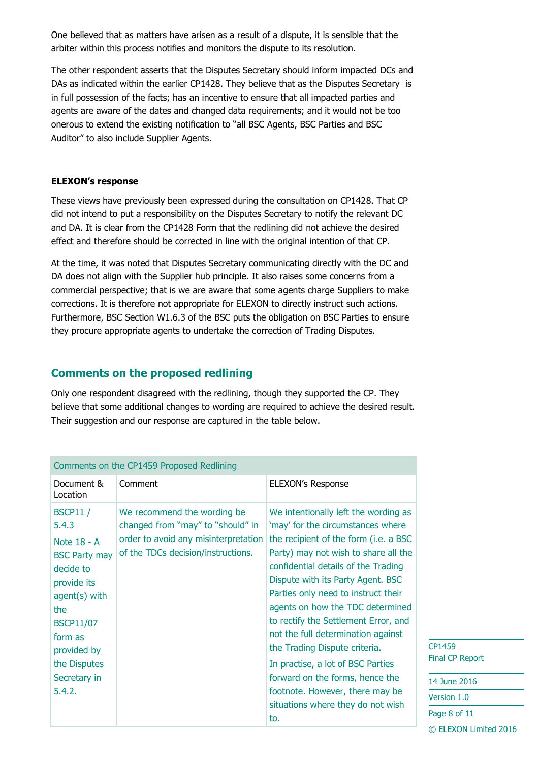One believed that as matters have arisen as a result of a dispute, it is sensible that the arbiter within this process notifies and monitors the dispute to its resolution.

The other respondent asserts that the Disputes Secretary should inform impacted DCs and DAs as indicated within the earlier CP1428. They believe that as the Disputes Secretary is in full possession of the facts; has an incentive to ensure that all impacted parties and agents are aware of the dates and changed data requirements; and it would not be too onerous to extend the existing notification to "all BSC Agents, BSC Parties and BSC Auditor" to also include Supplier Agents.

#### **ELEXON's response**

These views have previously been expressed during the consultation on CP1428. That CP did not intend to put a responsibility on the Disputes Secretary to notify the relevant DC and DA. It is clear from the CP1428 Form that the redlining did not achieve the desired effect and therefore should be corrected in line with the original intention of that CP.

At the time, it was noted that Disputes Secretary communicating directly with the DC and DA does not align with the Supplier hub principle. It also raises some concerns from a commercial perspective; that is we are aware that some agents charge Suppliers to make corrections. It is therefore not appropriate for ELEXON to directly instruct such actions. Furthermore, BSC Section W1.6.3 of the BSC puts the obligation on BSC Parties to ensure they procure appropriate agents to undertake the correction of Trading Disputes.

#### **Comments on the proposed redlining**

Only one respondent disagreed with the redlining, though they supported the CP. They believe that some additional changes to wording are required to achieve the desired result. Their suggestion and our response are captured in the table below.

|                                                                                                                                                                                                              | Comments on the CP1459 Proposed Redlining                                                                                                      |                                                                                                                                                                                                                                                                                                                                                                                                                                                                                                                                                                                          |                                                                     |
|--------------------------------------------------------------------------------------------------------------------------------------------------------------------------------------------------------------|------------------------------------------------------------------------------------------------------------------------------------------------|------------------------------------------------------------------------------------------------------------------------------------------------------------------------------------------------------------------------------------------------------------------------------------------------------------------------------------------------------------------------------------------------------------------------------------------------------------------------------------------------------------------------------------------------------------------------------------------|---------------------------------------------------------------------|
| Document &<br>Location                                                                                                                                                                                       | Comment                                                                                                                                        | <b>ELEXON's Response</b>                                                                                                                                                                                                                                                                                                                                                                                                                                                                                                                                                                 |                                                                     |
| <b>BSCP11/</b><br>5.4.3<br>Note 18 - A<br><b>BSC Party may</b><br>decide to<br>provide its<br>$agent(s)$ with<br>the<br><b>BSCP11/07</b><br>form as<br>provided by<br>the Disputes<br>Secretary in<br>5.4.2. | We recommend the wording be<br>changed from "may" to "should" in<br>order to avoid any misinterpretation<br>of the TDCs decision/instructions. | We intentionally left the wording as<br>'may' for the circumstances where<br>the recipient of the form (i.e. a BSC)<br>Party) may not wish to share all the<br>confidential details of the Trading<br>Dispute with its Party Agent. BSC<br>Parties only need to instruct their<br>agents on how the TDC determined<br>to rectify the Settlement Error, and<br>not the full determination against<br>the Trading Dispute criteria.<br>In practise, a lot of BSC Parties<br>forward on the forms, hence the<br>footnote. However, there may be<br>situations where they do not wish<br>to. | CP1459<br>Final CP Rep<br>14 June 201<br>Version 1.0<br>Page 8 of 1 |
|                                                                                                                                                                                                              |                                                                                                                                                |                                                                                                                                                                                                                                                                                                                                                                                                                                                                                                                                                                                          |                                                                     |

 $\overline{9}$ P Report ne 2016

 $of 11$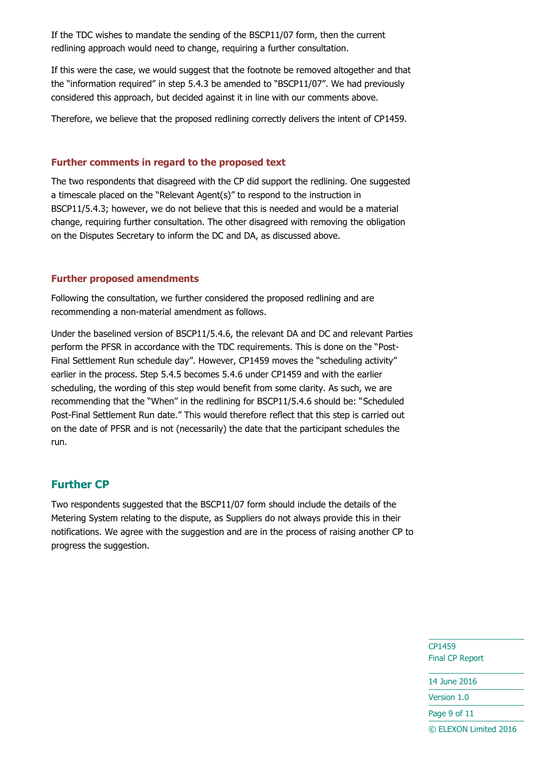If the TDC wishes to mandate the sending of the BSCP11/07 form, then the current redlining approach would need to change, requiring a further consultation.

If this were the case, we would suggest that the footnote be removed altogether and that the "information required" in step 5.4.3 be amended to "BSCP11/07". We had previously considered this approach, but decided against it in line with our comments above.

Therefore, we believe that the proposed redlining correctly delivers the intent of CP1459.

#### **Further comments in regard to the proposed text**

The two respondents that disagreed with the CP did support the redlining. One suggested a timescale placed on the "Relevant Agent(s)" to respond to the instruction in BSCP11/5.4.3; however, we do not believe that this is needed and would be a material change, requiring further consultation. The other disagreed with removing the obligation on the Disputes Secretary to inform the DC and DA, as discussed above.

#### **Further proposed amendments**

Following the consultation, we further considered the proposed redlining and are recommending a non-material amendment as follows.

Under the baselined version of BSCP11/5.4.6, the relevant DA and DC and relevant Parties perform the PFSR in accordance with the TDC requirements. This is done on the "Post-Final Settlement Run schedule day". However, CP1459 moves the "scheduling activity" earlier in the process. Step 5.4.5 becomes 5.4.6 under CP1459 and with the earlier scheduling, the wording of this step would benefit from some clarity. As such, we are recommending that the "When" in the redlining for BSCP11/5.4.6 should be: "Scheduled Post-Final Settlement Run date." This would therefore reflect that this step is carried out on the date of PFSR and is not (necessarily) the date that the participant schedules the run.

## **Further CP**

Two respondents suggested that the BSCP11/07 form should include the details of the Metering System relating to the dispute, as Suppliers do not always provide this in their notifications. We agree with the suggestion and are in the process of raising another CP to progress the suggestion.

> CP1459 Final CP Report

14 June 2016

Version 1.0

Page 9 of 11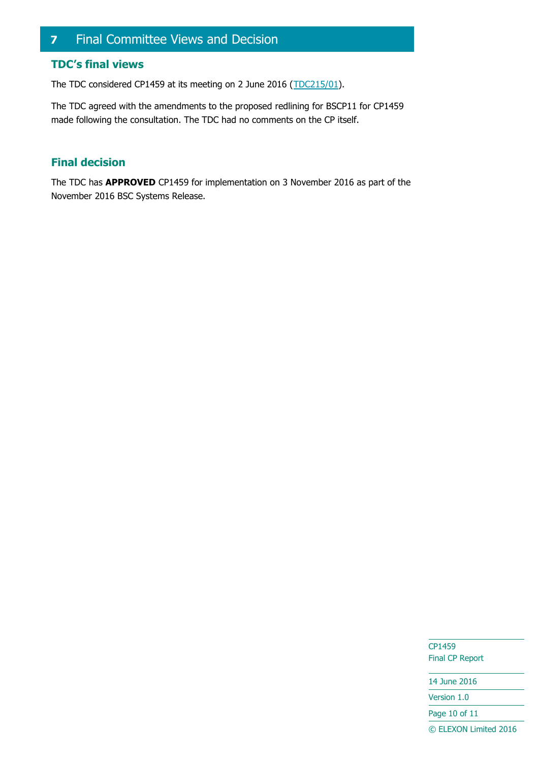## <span id="page-9-0"></span>**7** Final Committee Views and Decision

## **TDC's final views**

The TDC considered CP1459 at its meeting on 2 June 2016 [\(TDC215/01\)](https://www.elexon.co.uk/meeting/tdc-213/).

The TDC agreed with the amendments to the proposed redlining for BSCP11 for CP1459 made following the consultation. The TDC had no comments on the CP itself.

## **Final decision**

The TDC has **APPROVED** CP1459 for implementation on 3 November 2016 as part of the November 2016 BSC Systems Release.

> CP1459 Final CP Report

14 June 2016

Version 1.0

Page 10 of 11